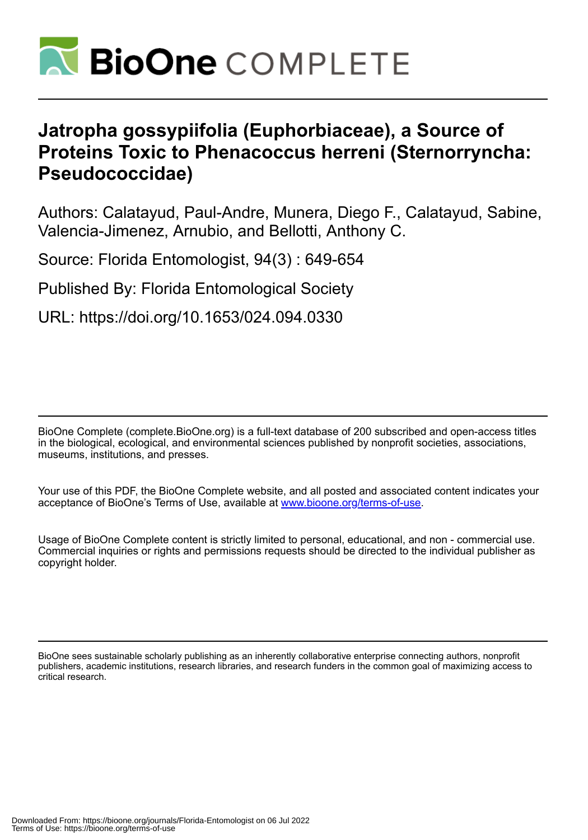

# **Jatropha gossypiifolia (Euphorbiaceae), a Source of Proteins Toxic to Phenacoccus herreni (Sternorryncha: Pseudococcidae)**

Authors: Calatayud, Paul-Andre, Munera, Diego F., Calatayud, Sabine, Valencia-Jimenez, Arnubio, and Bellotti, Anthony C.

Source: Florida Entomologist, 94(3) : 649-654

Published By: Florida Entomological Society

URL: https://doi.org/10.1653/024.094.0330

BioOne Complete (complete.BioOne.org) is a full-text database of 200 subscribed and open-access titles in the biological, ecological, and environmental sciences published by nonprofit societies, associations, museums, institutions, and presses.

Your use of this PDF, the BioOne Complete website, and all posted and associated content indicates your acceptance of BioOne's Terms of Use, available at www.bioone.org/terms-of-use.

Usage of BioOne Complete content is strictly limited to personal, educational, and non - commercial use. Commercial inquiries or rights and permissions requests should be directed to the individual publisher as copyright holder.

BioOne sees sustainable scholarly publishing as an inherently collaborative enterprise connecting authors, nonprofit publishers, academic institutions, research libraries, and research funders in the common goal of maximizing access to critical research.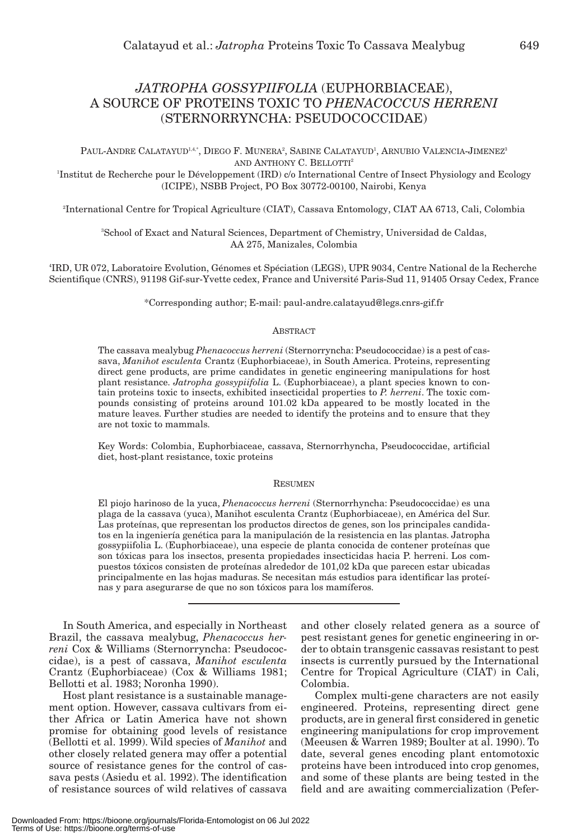# *JATROPHA GOSSYPIIFOLIA* (EUPHORBIACEAE), A SOURCE OF PROTEINS TOXIC TO *PHENACOCCUS HERRENI* (STERNORRYNCHA: PSEUDOCOCCIDAE)

PAUL-ANDRE CALATAYUD<sup>1,4,\*</sup>, DIEGO F. MUNERA<sup>2</sup>, SABINE CALATAYUD<sup>1</sup>, ARNUBIO VALENCIA-JIMENEZ<sup>3</sup> AND ANTHONY C. BELLOTTI<sup>2</sup>

1 Institut de Recherche pour le Développement (IRD) c/o International Centre of Insect Physiology and Ecology (ICIPE), NSBB Project, PO Box 30772-00100, Nairobi, Kenya

2 International Centre for Tropical Agriculture (CIAT), Cassava Entomology, CIAT AA 6713, Cali, Colombia

3 School of Exact and Natural Sciences, Department of Chemistry, Universidad de Caldas, AA 275, Manizales, Colombia

4 IRD, UR 072, Laboratoire Evolution, Génomes et Spéciation (LEGS), UPR 9034, Centre National de la Recherche Scientifique (CNRS), 91198 Gif-sur-Yvette cedex, France and Université Paris-Sud 11, 91405 Orsay Cedex, France

\*Corresponding author; E-mail: paul-andre.calatayud@legs.cnrs-gif.fr

# ABSTRACT

The cassava mealybug *Phenacoccus herreni* (Sternorryncha: Pseudococcidae) is a pest of cassava, *Manihot esculenta* Crantz (Euphorbiaceae), in South America. Proteins, representing direct gene products, are prime candidates in genetic engineering manipulations for host plant resistance. *Jatropha gossypiifolia* L. (Euphorbiaceae), a plant species known to contain proteins toxic to insects, exhibited insecticidal properties to *P. herreni*. The toxic compounds consisting of proteins around 101.02 kDa appeared to be mostly located in the mature leaves. Further studies are needed to identify the proteins and to ensure that they are not toxic to mammals.

Key Words: Colombia, Euphorbiaceae, cassava, Sternorrhyncha, Pseudococcidae, artificial diet, host-plant resistance, toxic proteins

# RESUMEN

El piojo harinoso de la yuca, *Phenacoccus herreni* (Sternorrhyncha: Pseudococcidae) es una plaga de la cassava (yuca), Manihot esculenta Crantz (Euphorbiaceae), en América del Sur. Las proteínas, que representan los productos directos de genes, son los principales candidatos en la ingeniería genética para la manipulación de la resistencia en las plantas. Jatropha gossypiifolia L. (Euphorbiaceae), una especie de planta conocida de contener proteínas que son tóxicas para los insectos, presenta propiedades insecticidas hacia P. herreni. Los compuestos tóxicos consisten de proteínas alrededor de 101,02 kDa que parecen estar ubicadas principalmente en las hojas maduras. Se necesitan más estudios para identificar las proteínas y para asegurarse de que no son tóxicos para los mamíferos.

In South America, and especially in Northeast Brazil, the cassava mealybug, *Phenacoccus herreni* Cox & Williams (Sternorryncha: Pseudococcidae), is a pest of cassava, *Manihot esculenta* Crantz (Euphorbiaceae) (Cox & Williams 1981; Bellotti et al. 1983; Noronha 1990).

Host plant resistance is a sustainable management option. However, cassava cultivars from either Africa or Latin America have not shown promise for obtaining good levels of resistance (Bellotti et al. 1999). Wild species of *Manihot* and other closely related genera may offer a potential source of resistance genes for the control of cassava pests (Asiedu et al. 1992). The identification of resistance sources of wild relatives of cassava

and other closely related genera as a source of pest resistant genes for genetic engineering in order to obtain transgenic cassavas resistant to pest insects is currently pursued by the International Centre for Tropical Agriculture (CIAT) in Cali, Colombia.

Complex multi-gene characters are not easily engineered. Proteins, representing direct gene products, are in general first considered in genetic engineering manipulations for crop improvement (Meeusen & Warren 1989; Boulter at al. 1990). To date, several genes encoding plant entomotoxic proteins have been introduced into crop genomes, and some of these plants are being tested in the field and are awaiting commercialization (Pefer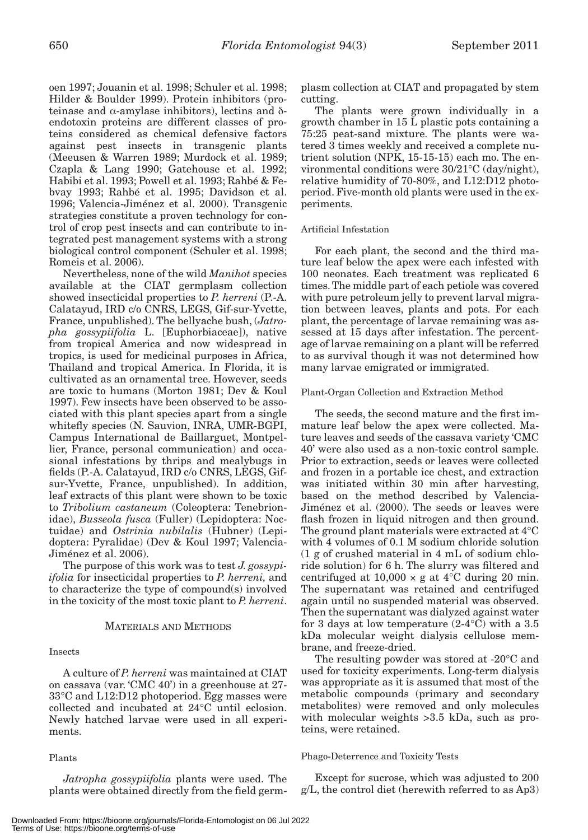oen 1997; Jouanin et al. 1998; Schuler et al. 1998; Hilder & Boulder 1999). Protein inhibitors (proteinase and  $α$ -amylase inhibitors), lectins and  $δ$ endotoxin proteins are different classes of proteins considered as chemical defensive factors against pest insects in transgenic plants (Meeusen & Warren 1989; Murdock et al. 1989; Czapla & Lang 1990; Gatehouse et al. 1992; Habibi et al. 1993; Powell et al. 1993; Rahbé & Febvay 1993; Rahbé et al. 1995; Davidson et al. 1996; Valencia-Jiménez et al. 2000). Transgenic strategies constitute a proven technology for control of crop pest insects and can contribute to integrated pest management systems with a strong biological control component (Schuler et al. 1998; Romeis et al. 2006).

Nevertheless, none of the wild *Manihot* species available at the CIAT germplasm collection showed insecticidal properties to *P. herreni* (P.-A. Calatayud, IRD c/o CNRS, LEGS, Gif-sur-Yvette, France, unpublished). The bellyache bush, (*Jatropha gossypiifolia* L. [Euphorbiaceae]), native from tropical America and now widespread in tropics, is used for medicinal purposes in Africa, Thailand and tropical America. In Florida, it is cultivated as an ornamental tree. However, seeds are toxic to humans (Morton 1981; Dev & Koul 1997). Few insects have been observed to be associated with this plant species apart from a single whitefly species (N. Sauvion, INRA, UMR-BGPI, Campus International de Baillarguet, Montpellier, France, personal communication) and occasional infestations by thrips and mealybugs in fields (P.-A. Calatayud, IRD c/o CNRS, LEGS, Gifsur-Yvette, France, unpublished). In addition, leaf extracts of this plant were shown to be toxic to *Tribolium castaneum* (Coleoptera: Tenebrionidae), *Busseola fusca* (Fuller) (Lepidoptera: Noctuidae) and *Ostrinia nubilalis* (Hubner) (Lepidoptera: Pyralidae) (Dev & Koul 1997; Valencia-Jiménez et al. 2006).

The purpose of this work was to test *J. gossypiifolia* for insecticidal properties to *P. herreni,* and to characterize the type of compound(s) involved in the toxicity of the most toxic plant to *P. herreni*.

# MATERIALS AND METHODS

# Insects

A culture of *P. herreni* was maintained at CIAT on cassava (var. 'CMC 40') in a greenhouse at 27- 33°C and L12:D12 photoperiod. Egg masses were collected and incubated at 24°C until eclosion. Newly hatched larvae were used in all experiments.

#### Plants

*Jatropha gossypiifolia* plants were used. The plants were obtained directly from the field germ-

plasm collection at CIAT and propagated by stem cutting.

The plants were grown individually in a growth chamber in 15 L plastic pots containing a 75:25 peat-sand mixture. The plants were watered 3 times weekly and received a complete nutrient solution (NPK, 15-15-15) each mo. The environmental conditions were 30/21°C (day/night), relative humidity of 70-80%, and L12:D12 photoperiod. Five-month old plants were used in the experiments.

# Artificial Infestation

For each plant, the second and the third mature leaf below the apex were each infested with 100 neonates. Each treatment was replicated 6 times. The middle part of each petiole was covered with pure petroleum jelly to prevent larval migration between leaves, plants and pots. For each plant, the percentage of larvae remaining was assessed at 15 days after infestation. The percentage of larvae remaining on a plant will be referred to as survival though it was not determined how many larvae emigrated or immigrated.

# Plant-Organ Collection and Extraction Method

The seeds, the second mature and the first immature leaf below the apex were collected. Mature leaves and seeds of the cassava variety 'CMC 40' were also used as a non-toxic control sample. Prior to extraction, seeds or leaves were collected and frozen in a portable ice chest, and extraction was initiated within 30 min after harvesting, based on the method described by Valencia-Jiménez et al. (2000). The seeds or leaves were flash frozen in liquid nitrogen and then ground. The ground plant materials were extracted at 4°C with 4 volumes of 0.1 M sodium chloride solution (1 g of crushed material in 4 mL of sodium chloride solution) for 6 h. The slurry was filtered and centrifuged at  $10,000 \times g$  at  $4^{\circ}$ C during 20 min. The supernatant was retained and centrifuged again until no suspended material was observed. Then the supernatant was dialyzed against water for 3 days at low temperature  $(2-4^{\circ}C)$  with a 3.5 kDa molecular weight dialysis cellulose membrane, and freeze-dried.

The resulting powder was stored at -20°C and used for toxicity experiments. Long-term dialysis was appropriate as it is assumed that most of the metabolic compounds (primary and secondary metabolites) were removed and only molecules with molecular weights >3.5 kDa, such as proteins, were retained.

#### Phago-Deterrence and Toxicity Tests

Except for sucrose, which was adjusted to 200 g/L, the control diet (herewith referred to as Ap3)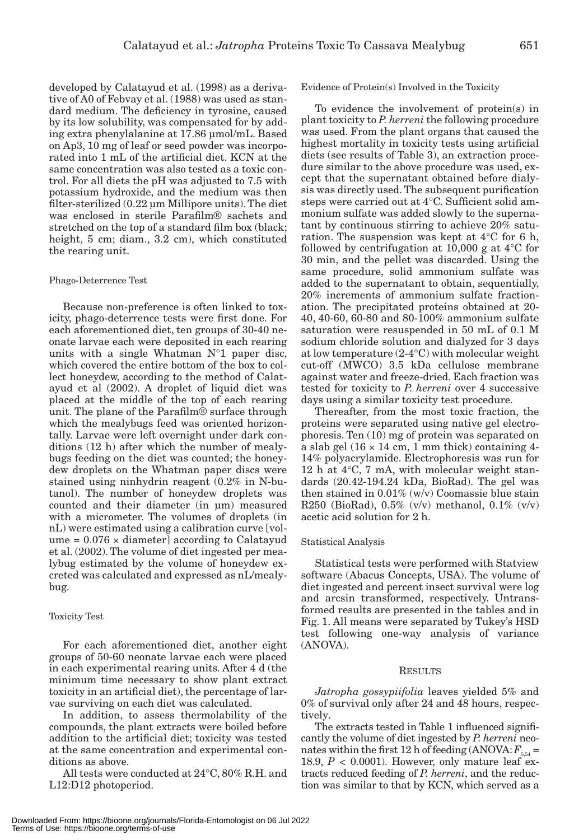developed by Calatayud et al. (1998) as a derivative of A0 of Febvay et al. (1988) was used as standard medium. The deficiency in tyrosine, caused by its low solubility, was compensated for by adding extra phenylalanine at 17.86 μmol/mL. Based on Ap3, 10 mg of leaf or seed powder was incorporated into 1 mL of the artificial diet. KCN at the same concentration was also tested as a toxic control. For all diets the pH was adjusted to 7.5 with potassium hydroxide, and the medium was then filter-sterilized (0.22 μm Millipore units). The diet was enclosed in sterile Parafilm® sachets and stretched on the top of a standard film box (black; height, 5 cm; diam., 3.2 cm), which constituted the rearing unit.

#### Phago-Deterrence Test

Because non-preference is often linked to toxicity, phago-deterrence tests were first done. For each aforementioned diet, ten groups of 30-40 neonate larvae each were deposited in each rearing units with a single Whatman  $N^{\circ}1$  paper disc, which covered the entire bottom of the box to collect honeydew, according to the method of Calatayud et al (2002). A droplet of liquid diet was placed at the middle of the top of each rearing unit. The plane of the Parafilm® surface through which the mealybugs feed was oriented horizontally. Larvae were left overnight under dark conditions (12 h) after which the number of mealybugs feeding on the diet was counted; the honeydew droplets on the Whatman paper discs were stained using ninhydrin reagent (0.2% in N-butanol). The number of honeydew droplets was counted and their diameter (in μm) measured with a micrometer. The volumes of droplets (in nL) were estimated using a calibration curve [vol $ume = 0.076 \times diameter$  according to Calatayud et al. (2002). The volume of diet ingested per mealybug estimated by the volume of honeydew excreted was calculated and expressed as nL/mealybug.

# Toxicity Test

For each aforementioned diet, another eight groups of 50-60 neonate larvae each were placed in each experimental rearing units. After 4 d (the minimum time necessary to show plant extract toxicity in an artificial diet), the percentage of larvae surviving on each diet was calculated.

In addition, to assess thermolability of the compounds, the plant extracts were boiled before addition to the artificial diet; toxicity was tested at the same concentration and experimental conditions as above.

All tests were conducted at 24°C, 80% R.H. and L12:D12 photoperiod.

Evidence of Protein(s) Involved in the Toxicity

To evidence the involvement of protein(s) in plant toxicity to *P. herreni* the following procedure was used. From the plant organs that caused the highest mortality in toxicity tests using artificial diets (see results of Table 3), an extraction procedure similar to the above procedure was used, except that the supernatant obtained before dialysis was directly used. The subsequent purification steps were carried out at 4°C. Sufficient solid ammonium sulfate was added slowly to the supernatant by continuous stirring to achieve 20% saturation. The suspension was kept at 4°C for 6 h, followed by centrifugation at 10,000 g at 4°C for 30 min, and the pellet was discarded. Using the same procedure, solid ammonium sulfate was added to the supernatant to obtain, sequentially, 20% increments of ammonium sulfate fractionation. The precipitated proteins obtained at 20- 40, 40-60, 60-80 and 80-100% ammonium sulfate saturation were resuspended in 50 mL of 0.1 M sodium chloride solution and dialyzed for 3 days at low temperature (2-4°C) with molecular weight cut-off (MWCO) 3.5 kDa cellulose membrane against water and freeze-dried. Each fraction was tested for toxicity to *P. herreni* over 4 successive days using a similar toxicity test procedure.

Thereafter, from the most toxic fraction, the proteins were separated using native gel electrophoresis. Ten (10) mg of protein was separated on a slab gel  $(16 \times 14 \text{ cm}, 1 \text{ mm thick})$  containing 4-14% polyacrylamide. Electrophoresis was run for 12 h at 4°C, 7 mA, with molecular weight standards (20.42-194.24 kDa, BioRad). The gel was then stained in  $0.01\%$  (w/v) Coomassie blue stain R250 (BioRad), 0.5% (v/v) methanol, 0.1% (v/v) acetic acid solution for 2 h.

#### Statistical Analysis

Statistical tests were performed with Statview software (Abacus Concepts, USA). The volume of diet ingested and percent insect survival were log and arcsin transformed, respectively. Untransformed results are presented in the tables and in Fig. 1. All means were separated by Tukey's HSD test following one-way analysis of variance (ANOVA).

### RESULTS

*Jatropha gossypiifolia* leaves yielded 5% and 0% of survival only after 24 and 48 hours, respectively.

The extracts tested in Table 1 influenced significantly the volume of diet ingested by *P. herreni* neonates within the first 12 h of feeding (ANOVA:  $F_{5,54}$  = 18.9,  $P < 0.0001$ ). However, only mature leaf extracts reduced feeding of *P. herreni*, and the reduction was similar to that by KCN, which served as a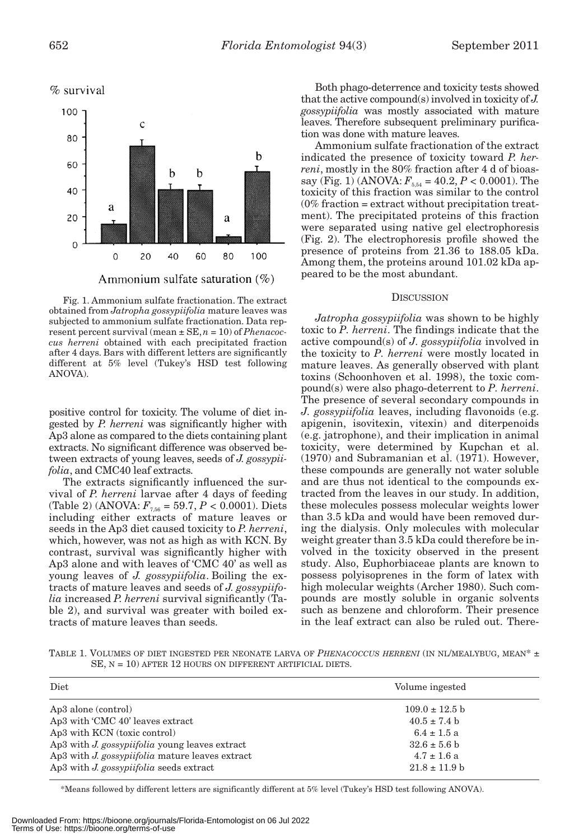

Fig. 1. Ammonium sulfate fractionation. The extract obtained from *Jatropha gossypiifolia* mature leaves was subjected to ammonium sulfate fractionation. Data represent percent survival (mean ± SE, *n* = 10) of *Phenacoccus herreni* obtained with each precipitated fraction after 4 days. Bars with different letters are significantly different at 5% level (Tukey's HSD test following ANOVA).

positive control for toxicity. The volume of diet ingested by *P. herreni* was significantly higher with Ap3 alone as compared to the diets containing plant extracts. No significant difference was observed between extracts of young leaves, seeds of *J. gossypiifolia*, and CMC40 leaf extracts.

The extracts significantly influenced the survival of *P. herreni* larvae after 4 days of feeding (Table 2) (ANOVA:  $F_{7.56} = 59.7, P < 0.0001$ ). Diets including either extracts of mature leaves or seeds in the Ap3 diet caused toxicity to *P. herreni*, which, however, was not as high as with KCN. By contrast, survival was significantly higher with Ap3 alone and with leaves of 'CMC 40' as well as young leaves of *J. gossypiifolia*. Boiling the extracts of mature leaves and seeds of *J. gossypiifolia* increased *P. herreni* survival significantly (Table 2), and survival was greater with boiled extracts of mature leaves than seeds.

Both phago-deterrence and toxicity tests showed that the active compound(s) involved in toxicity of *J. gossypiifolia* was mostly associated with mature leaves. Therefore subsequent preliminary purification was done with mature leaves.

Ammonium sulfate fractionation of the extract indicated the presence of toxicity toward *P. herreni*, mostly in the 80% fraction after 4 d of bioassay (Fig. 1) (ANOVA:  $F_{5.54} = 40.2$ ,  $P < 0.0001$ ). The toxicity of this fraction was similar to the control  $(0\%$  fraction = extract without precipitation treatment). The precipitated proteins of this fraction were separated using native gel electrophoresis (Fig. 2). The electrophoresis profile showed the presence of proteins from 21.36 to 188.05 kDa. Among them, the proteins around 101.02 kDa appeared to be the most abundant.

# **DISCUSSION**

*Jatropha gossypiifolia* was shown to be highly toxic to *P. herreni*. The findings indicate that the active compound(s) of *J. gossypiifolia* involved in the toxicity to *P. herreni* were mostly located in mature leaves. As generally observed with plant toxins (Schoonhoven et al. 1998), the toxic compound(s) were also phago-deterrent to *P. herreni*. The presence of several secondary compounds in *J. gossypiifolia* leaves, including flavonoids (e.g. apigenin, isovitexin, vitexin) and diterpenoids (e.g. jatrophone), and their implication in animal toxicity, were determined by Kupchan et al. (1970) and Subramanian et al. (1971). However, these compounds are generally not water soluble and are thus not identical to the compounds extracted from the leaves in our study. In addition, these molecules possess molecular weights lower than 3.5 kDa and would have been removed during the dialysis. Only molecules with molecular weight greater than 3.5 kDa could therefore be involved in the toxicity observed in the present study. Also, Euphorbiaceae plants are known to possess polyisoprenes in the form of latex with high molecular weights (Archer 1980). Such compounds are mostly soluble in organic solvents such as benzene and chloroform. Their presence in the leaf extract can also be ruled out. There-

TABLE 1. VOLUMES OF DIET INGESTED PER NEONATE LARVA OF *PHENACOCCUS HERRENI* (IN NL/MEALYBUG, MEAN\* ± SE,  $N = 10$ ) AFTER 12 HOURS ON DIFFERENT ARTIFICIAL DIETS.

| Diet                                            | Volume ingested    |
|-------------------------------------------------|--------------------|
| Ap3 alone (control)                             | $109.0 \pm 12.5$ b |
| Ap3 with 'CMC 40' leaves extract                | $40.5 \pm 7.4$ b   |
| Ap3 with KCN (toxic control)                    | $6.4 \pm 1.5$ a    |
| Ap3 with J. gossypiifolia young leaves extract  | $32.6 \pm 5.6$ b   |
| Ap3 with J. gossypiifolia mature leaves extract | $4.7 \pm 1.6$ a    |
| Ap3 with J. gossypiifolia seeds extract         | $21.8 \pm 11.9$ b  |

\*Means followed by different letters are significantly different at 5% level (Tukey's HSD test following ANOVA).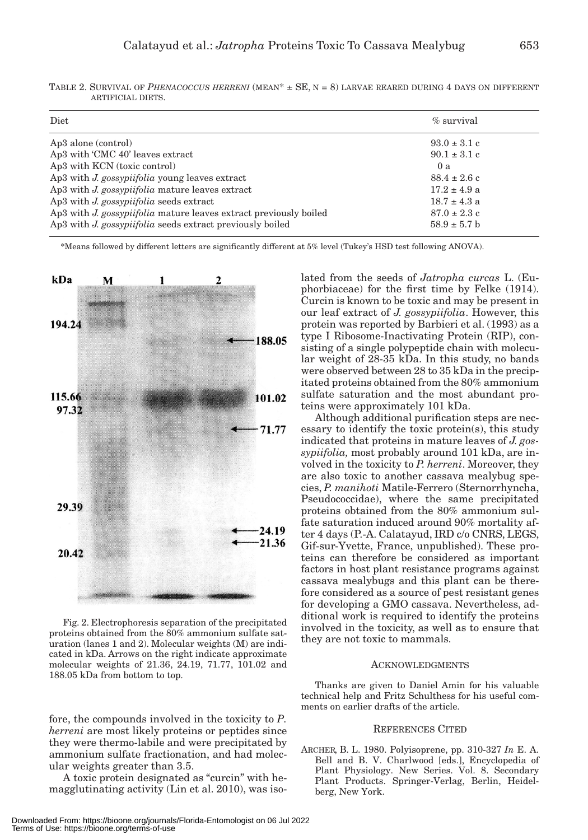| Diet                                                              | $\%$ survival    |
|-------------------------------------------------------------------|------------------|
| Ap3 alone (control)                                               | $93.0 \pm 3.1$ c |
| Ap3 with 'CMC 40' leaves extract                                  | $90.1 \pm 3.1$ c |
| Ap3 with KCN (toxic control)                                      | 0a               |
| Ap3 with J. gossypiifolia young leaves extract                    | $88.4 \pm 2.6$ c |
| Ap3 with J. gossypiifolia mature leaves extract                   | $17.2 \pm 4.9$ a |
| Ap3 with J. gossypiifolia seeds extract                           | $18.7 \pm 4.3$ a |
| Ap3 with J. gossypiifolia mature leaves extract previously boiled | $87.0 \pm 2.3$ c |
| Ap3 with J. gossypiifolia seeds extract previously boiled         | $58.9 \pm 5.7$ b |
|                                                                   |                  |

TABLE 2. SURVIVAL OF *PHENACOCCUS HERRENI* (MEAN\* ± SE, N = 8) LARVAE REARED DURING 4 DAYS ON DIFFERENT ARTIFICIAL DIETS.

\*Means followed by different letters are significantly different at 5% level (Tukey's HSD test following ANOVA).



Fig. 2. Electrophoresis separation of the precipitated proteins obtained from the 80% ammonium sulfate saturation (lanes 1 and 2). Molecular weights (M) are indicated in kDa. Arrows on the right indicate approximate molecular weights of 21.36,  $24.19$ ,  $71.77$ ,  $101.02$  and 188.05 kDa from bottom to top.

fore, the compounds involved in the toxicity to *P. herreni* are most likely proteins or peptides since they were thermo-labile and were precipitated by ammonium sulfate fractionation, and had molecular weights greater than 3.5.

A toxic protein designated as "curcin" with hemagglutinating activity (Lin et al. 2010), was iso-

lated from the seeds of *Jatropha curcas* L. (Euphorbiaceae) for the first time by Felke (1914). Curcin is known to be toxic and may be present in our leaf extract of *J. gossypiifolia*. However, this protein was reported by Barbieri et al. (1993) as a type I Ribosome-Inactivating Protein (RIP), consisting of a single polypeptide chain with molecular weight of 28-35 kDa. In this study, no bands were observed between 28 to 35 kDa in the precipitated proteins obtained from the 80% ammonium sulfate saturation and the most abundant proteins were approximately 101 kDa.

Although additional purification steps are necessary to identify the toxic protein(s), this study indicated that proteins in mature leaves of *J. gossypiifolia,* most probably around 101 kDa, are involved in the toxicity to *P. herreni*. Moreover, they are also toxic to another cassava mealybug species, *P. manihoti* Matile-Ferrero (Sternorrhyncha, Pseudococcidae), where the same precipitated proteins obtained from the 80% ammonium sulfate saturation induced around 90% mortality after 4 days (P.-A. Calatayud, IRD c/o CNRS, LEGS, Gif-sur-Yvette, France, unpublished). These proteins can therefore be considered as important factors in host plant resistance programs against cassava mealybugs and this plant can be therefore considered as a source of pest resistant genes for developing a GMO cassava. Nevertheless, additional work is required to identify the proteins involved in the toxicity, as well as to ensure that they are not toxic to mammals.

# ACKNOWLEDGMENTS

Thanks are given to Daniel Amin for his valuable technical help and Fritz Schulthess for his useful comments on earlier drafts of the article.

# REFERENCES CITED

ARCHER, B. L. 1980. Polyisoprene, pp. 310-327 *In* E. A. Bell and B. V. Charlwood [eds.], Encyclopedia of Plant Physiology. New Series. Vol. 8. Secondary Plant Products. Springer-Verlag, Berlin, Heidelberg, New York.